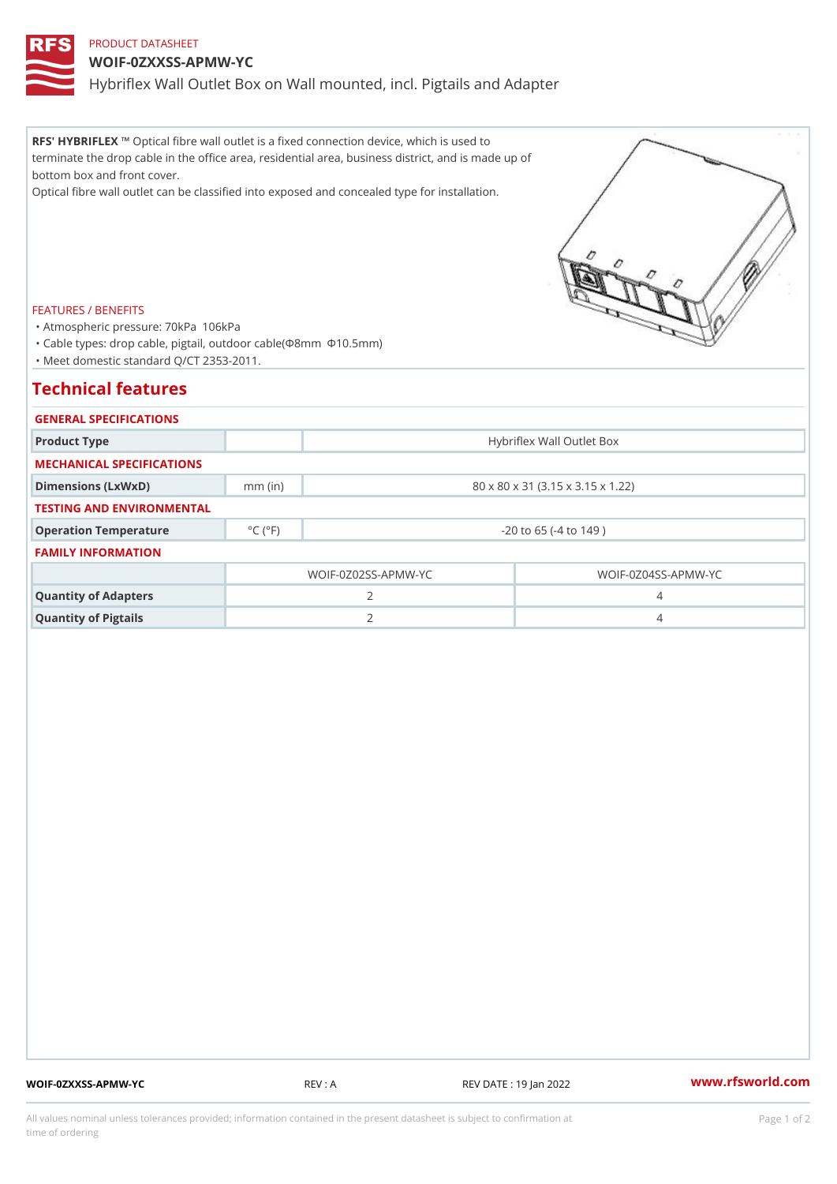### PRODUCT DATASHEET

## WOIF-0ZXXSS-APMW-YC

Hybriflex Wall Outlet Box on Wall mounted, incl. Pigtails and Adapter

RFS' HYBRI'FD pXical fibre wall outlet is a fixed connection device, which is used to terminate the drop cable in the office area, residential area, business district, and is made up of bottom box and front cover.

Optical fibre wall outlet can be classified into exposed and concealed type for installation.

#### FEATURES / BENEFITS

"Atmospheric pressure: 70kPaÿ^106kPa

"Cable types: drop cable, pigtail, outdoor cable(¦8mmÿ^¦10.5mm)

"Meet domestic standard Q/CT 2353-2011.

## Technical features

| GENERAL SPECIFICATIONS    |                              |                                   |                             |
|---------------------------|------------------------------|-----------------------------------|-----------------------------|
| Product Type              |                              | Hybriflex Wall Outlet Box         |                             |
| MECHANICAL SPECIFICATIONS |                              |                                   |                             |
| Dimensions (LxWxD)        | $mm$ (in)                    | 80 x 80 x 31 (3.15 x 3.15 x 1.22) |                             |
| TESTING AND ENVIRONMENTAL |                              |                                   |                             |
| Operation Temperature     | $^{\circ}$ C ( $^{\circ}$ F) | $-20$ to 65 ( $-4$ to 149)        |                             |
| <b>FAMILY INFORMATION</b> |                              |                                   |                             |
|                           |                              | $WOIF - 0Z02SS - APMW - YC$       | $WOIF - 0Z04SS - APMW - YC$ |
| Quantity of Adapters      |                              | $\mathcal{P}$                     | 4                           |
| Quantity of Pigtails      |                              | 2                                 |                             |

WOIF-0ZXXSS-APMW-YC REV : A REV DATE : 19 Jan 2022 WWW.rfsworld.com